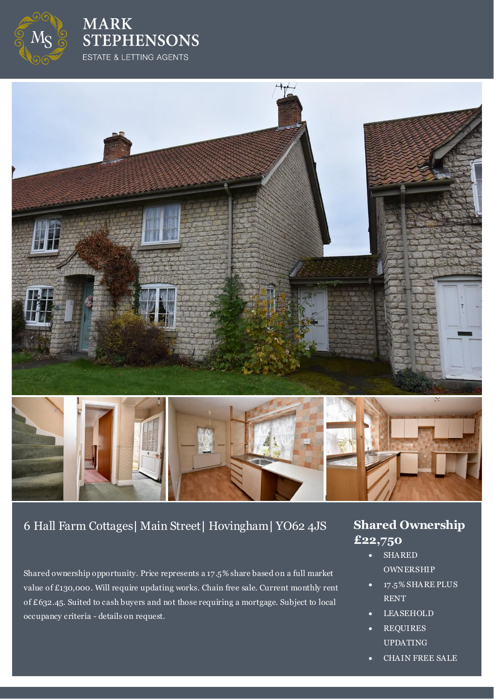

**MARK STEPHENSONS** ESTATE & LETTING AGENTS



# 6 Hall Farm Cottages**|** Main Street**|** Hovingham**|** YO62 4JS **Shared Ownership**

Shared ownership opportunity. Price represents a 17.5% share based on a full market value of £130,000. Will require updating works. Chain free sale. Current monthly rent of £632.45. Suited to cash buyers and not those requiring a mortgage. Subject to local occupancy criteria - details on request.

# **£22,750**

- SHARED **OWNERSHIP**
- 17.5% SHARE PLUS RENT
- LEASEHOLD
- REQUIRES UPDATING
- CHAIN FREE SALE